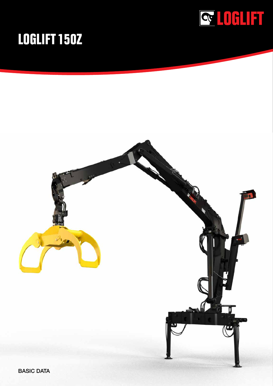

## **LOGLIFT 150Z**



BASIC DATA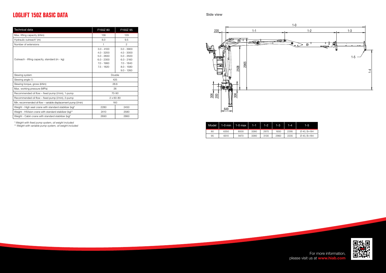$\frac{1}{20}$ 200

649





306



| Model | 1-0 min | 1-0 max | $1 - 1$ | $1-2$ | 1-31 | 1-4. | 1-51                    |
|-------|---------|---------|---------|-------|------|------|-------------------------|
| 80    | 6350    | 8000    | 3380    | 2970  | 1650 | 2295 | $\varnothing$ 40. B=184 |
| 95    | 6510    | 9470    | 3380    | 3130  | 2960 | 2235 | $\varnothing$ 40, B=184 |

| <b>Technical data</b>                                          | F150Z 80                                                                                     | F150Z 95                                                                                                     |  |
|----------------------------------------------------------------|----------------------------------------------------------------------------------------------|--------------------------------------------------------------------------------------------------------------|--|
| Max. lifting capacity (kNm)                                    | 136                                                                                          | 129                                                                                                          |  |
| Hydraulic outreach* (m)                                        | 8.0                                                                                          | 9.5                                                                                                          |  |
| Number of extensions                                           | 1                                                                                            | 2                                                                                                            |  |
| Outreach - lifting capacity, standard (m - kg)                 | $3.0 - 4100$<br>$4.0 - 3200$<br>$5.0 - 2650$<br>$6.0 - 2300$<br>$7.0 - 1960$<br>$7.5 - 1820$ | $3.0 - 3900$<br>$4.0 - 3000$<br>$5.0 - 2500$<br>$6.0 - 2160$<br>$7.0 - 1840$<br>$8.0 - 1580$<br>$9.0 - 1260$ |  |
| Slewing system                                                 | Double                                                                                       |                                                                                                              |  |
| Slewing angle (°)                                              | 425                                                                                          |                                                                                                              |  |
| Slewing torque, gross (kNm)                                    | 28.6                                                                                         |                                                                                                              |  |
| Max. working pressure (MPa)                                    | 26                                                                                           |                                                                                                              |  |
| Recommended oil flow – fixed pump (I/min), 1-pump              | 70-90                                                                                        |                                                                                                              |  |
| Recommended oil flow - fixed pump (I/min), 2-pump              | $2 \times 60 - 80$                                                                           |                                                                                                              |  |
| Min. recommended oil flow - variable displacement pump (I/min) | 160                                                                                          |                                                                                                              |  |
| Weight - High seat crane with standard stabilizer (kg)*        | 2280                                                                                         | 2450                                                                                                         |  |
| Weight - HiVision crane with standard stabilizer (kg)**        | 2410                                                                                         | 2580                                                                                                         |  |
| Weight - Cabin crane with standard stabilizer (kg)*            | 2690                                                                                         | 2860                                                                                                         |  |

\* Weight with fixed pump system, oil weight included

\*\* Weight with variable pump system, oil weight included

## **LOGLIFT 150Z BASIC DATA**

For more information, please visit us at **www.hiab.com**